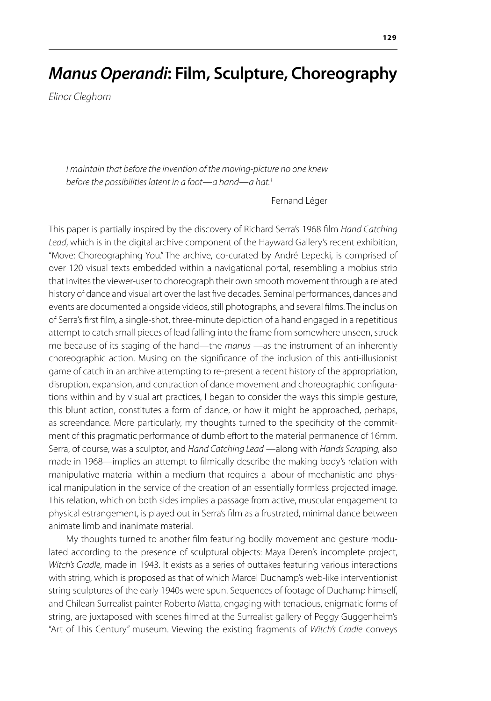# *Manus Operandi***: Film, Sculpture, Choreography**

*Elinor Cleghorn*

*I maintain that before the invention of the moving-picture no one knew before the possibilities latent in a foot—a hand—a hat.1*

Fernand Léger

This paper is partially inspired by the discovery of Richard Serra's 1968 film *Hand Catching Lead*, which is in the digital archive component of the Hayward Gallery's recent exhibition, "Move: Choreographing You." The archive, co-curated by André Lepecki, is comprised of over 120 visual texts embedded within a navigational portal, resembling a mobius strip that invites the viewer-user to choreograph their own smooth movement through a related history of dance and visual art over the last five decades. Seminal performances, dances and events are documented alongside videos, still photographs, and several films. The inclusion of Serra's first film, a single-shot, three-minute depiction of a hand engaged in a repetitious attempt to catch small pieces of lead falling into the frame from somewhere unseen, struck me because of its staging of the hand—the *manus* —as the instrument of an inherently choreographic action. Musing on the significance of the inclusion of this anti-illusionist game of catch in an archive attempting to re-present a recent history of the appropriation, disruption, expansion, and contraction of dance movement and choreographic configurations within and by visual art practices, I began to consider the ways this simple gesture, this blunt action, constitutes a form of dance, or how it might be approached, perhaps, as screendance. More particularly, my thoughts turned to the specificity of the commitment of this pragmatic performance of dumb effort to the material permanence of 16mm. Serra, of course, was a sculptor, and *Hand Catching Lead* —along with *Hands Scraping,* also made in 1968—implies an attempt to filmically describe the making body's relation with manipulative material within a medium that requires a labour of mechanistic and physical manipulation in the service of the creation of an essentially formless projected image. This relation, which on both sides implies a passage from active, muscular engagement to physical estrangement, is played out in Serra's film as a frustrated, minimal dance between animate limb and inanimate material.

My thoughts turned to another film featuring bodily movement and gesture modulated according to the presence of sculptural objects: Maya Deren's incomplete project, *Witch's Cradle*, made in 1943. It exists as a series of outtakes featuring various interactions with string, which is proposed as that of which Marcel Duchamp's web-like interventionist string sculptures of the early 1940s were spun. Sequences of footage of Duchamp himself, and Chilean Surrealist painter Roberto Matta, engaging with tenacious, enigmatic forms of string, are juxtaposed with scenes filmed at the Surrealist gallery of Peggy Guggenheim's "Art of This Century" museum. Viewing the existing fragments of *Witch's Cradle* conveys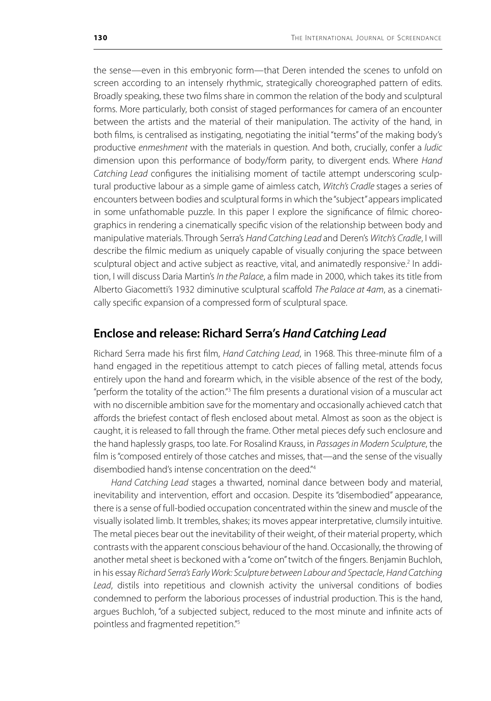the sense—even in this embryonic form—that Deren intended the scenes to unfold on screen according to an intensely rhythmic, strategically choreographed pattern of edits. Broadly speaking, these two films share in common the relation of the body and sculptural forms. More particularly, both consist of staged performances for camera of an encounter between the artists and the material of their manipulation. The activity of the hand, in both films, is centralised as instigating, negotiating the initial "terms" of the making body's productive *enmeshment* with the materials in question. And both, crucially, confer a *ludic* dimension upon this performance of body/form parity, to divergent ends. Where *Hand Catching Lead* configures the initialising moment of tactile attempt underscoring sculptural productive labour as a simple game of aimless catch, *Witch's Cradle* stages a series of encounters between bodies and sculptural forms in which the "subject" appears implicated in some unfathomable puzzle. In this paper I explore the significance of filmic choreographics in rendering a cinematically specific vision of the relationship between body and manipulative materials. Through Serra's *Hand Catching Lead* and Deren's *Witch's Cradle*, I will describe the filmic medium as uniquely capable of visually conjuring the space between sculptural object and active subject as reactive, vital, and animatedly responsive.<sup>2</sup> In addition, I will discuss Daria Martin's *In the Palace*, a film made in 2000, which takes its title from Alberto Giacometti's 1932 diminutive sculptural scaffold *The Palace at 4am*, as a cinematically specific expansion of a compressed form of sculptural space.

## **Enclose and release: Richard Serra's** *Hand Catching Lead*

Richard Serra made his first film, *Hand Catching Lead*, in 1968. This three-minute film of a hand engaged in the repetitious attempt to catch pieces of falling metal, attends focus entirely upon the hand and forearm which, in the visible absence of the rest of the body, "perform the totality of the action."<sup>3</sup> The film presents a durational vision of a muscular act with no discernible ambition save for the momentary and occasionally achieved catch that affords the briefest contact of flesh enclosed about metal. Almost as soon as the object is caught, it is released to fall through the frame. Other metal pieces defy such enclosure and the hand haplessly grasps, too late. For Rosalind Krauss, in *Passages in Modern Sculpture*, the film is "composed entirely of those catches and misses, that—and the sense of the visually disembodied hand's intense concentration on the deed."4

*Hand Catching Lead* stages a thwarted, nominal dance between body and material, inevitability and intervention, effort and occasion. Despite its "disembodied" appearance, there is a sense of full-bodied occupation concentrated within the sinew and muscle of the visually isolated limb. It trembles, shakes; its moves appear interpretative, clumsily intuitive. The metal pieces bear out the inevitability of their weight, of their material property, which contrasts with the apparent conscious behaviour of the hand. Occasionally, the throwing of another metal sheet is beckoned with a "come on" twitch of the fingers. Benjamin Buchloh, in his essay *Richard Serra's Early Work: Sculpture between Labour and Spectacle*, *Hand Catching Lead*, distils into repetitious and clownish activity the universal conditions of bodies condemned to perform the laborious processes of industrial production. This is the hand, argues Buchloh, "of a subjected subject, reduced to the most minute and infinite acts of pointless and fragmented repetition."5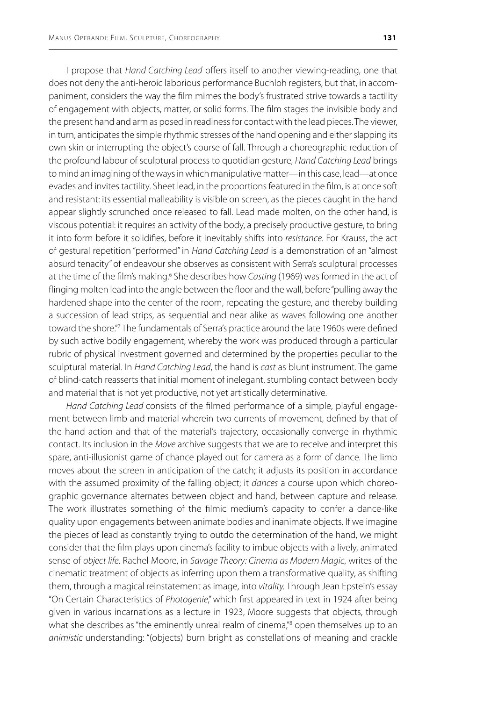I propose that *Hand Catching Lead* offers itself to another viewing-reading, one that does not deny the anti-heroic laborious performance Buchloh registers, but that, in accompaniment, considers the way the film mimes the body's frustrated strive towards a tactility of engagement with objects, matter, or solid forms. The film stages the invisible body and the present hand and arm as posed in readiness for contact with the lead pieces. The viewer, in turn, anticipates the simple rhythmic stresses of the hand opening and either slapping its own skin or interrupting the object's course of fall. Through a choreographic reduction of the profound labour of sculptural process to quotidian gesture, *Hand Catching Lead* brings to mind an imagining of the ways in which manipulative matter—in this case, lead—at once evades and invites tactility. Sheet lead, in the proportions featured in the film, is at once soft and resistant: its essential malleability is visible on screen, as the pieces caught in the hand appear slightly scrunched once released to fall. Lead made molten, on the other hand, is viscous potential: it requires an activity of the body, a precisely productive gesture, to bring it into form before it solidifies, before it inevitably shifts into *resistance*. For Krauss, the act of gestural repetition "performed" in *Hand Catching Lead* is a demonstration of an "almost absurd tenacity" of endeavour she observes as consistent with Serra's sculptural processes at the time of the film's making.<sup>6</sup> She describes how *Casting* (1969) was formed in the act of flinging molten lead into the angle between the floor and the wall, before "pulling away the hardened shape into the center of the room, repeating the gesture, and thereby building a succession of lead strips, as sequential and near alike as waves following one another toward the shore."<sup>7</sup> The fundamentals of Serra's practice around the late 1960s were defined by such active bodily engagement, whereby the work was produced through a particular rubric of physical investment governed and determined by the properties peculiar to the sculptural material. In *Hand Catching Lead*, the hand is *cast* as blunt instrument. The game of blind-catch reasserts that initial moment of inelegant, stumbling contact between body and material that is not yet productive, not yet artistically determinative.

*Hand Catching Lead* consists of the filmed performance of a simple, playful engagement between limb and material wherein two currents of movement, defined by that of the hand action and that of the material's trajectory, occasionally converge in rhythmic contact. Its inclusion in the *Move* archive suggests that we are to receive and interpret this spare, anti-illusionist game of chance played out for camera as a form of dance. The limb moves about the screen in anticipation of the catch; it adjusts its position in accordance with the assumed proximity of the falling object; it *dances* a course upon which choreographic governance alternates between object and hand, between capture and release. The work illustrates something of the filmic medium's capacity to confer a dance-like quality upon engagements between animate bodies and inanimate objects. If we imagine the pieces of lead as constantly trying to outdo the determination of the hand, we might consider that the film plays upon cinema's facility to imbue objects with a lively, animated sense of *object life*. Rachel Moore, in *Savage Theory: Cinema as Modern Magic*, writes of the cinematic treatment of objects as inferring upon them a transformative quality, as shifting them, through a magical reinstatement as image, into *vitality.* Through Jean Epstein's essay "On Certain Characteristics of *Photogenie*," which first appeared in text in 1924 after being given in various incarnations as a lecture in 1923, Moore suggests that objects, through what she describes as "the eminently unreal realm of cinema,"<sup>8</sup> open themselves up to an *animistic* understanding: "(objects) burn bright as constellations of meaning and crackle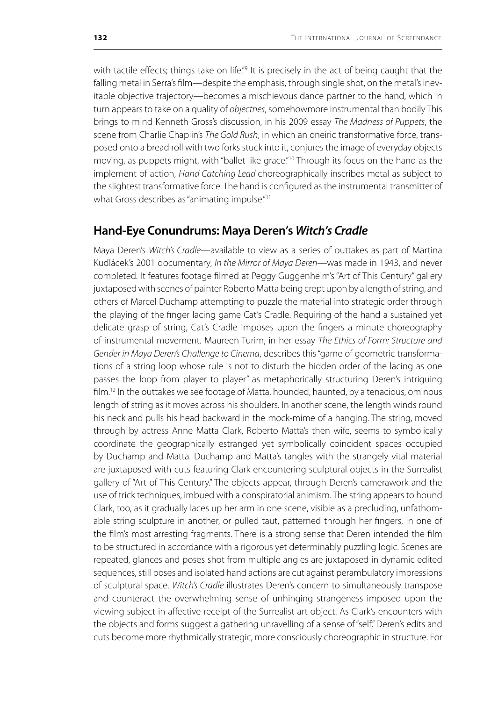with tactile effects; things take on life."<sup>9</sup> It is precisely in the act of being caught that the falling metal in Serra's film—despite the emphasis, through single shot, on the metal's inevitable objective trajectory—becomes a mischievous dance partner to the hand, which in turn appears to take on a quality of *objectnes*, somehowmore instrumental than bodily This brings to mind Kenneth Gross's discussion, in his 2009 essay *The Madness of Puppets*, the scene from Charlie Chaplin's *The Gold Rush*, in which an oneiric transformative force, transposed onto a bread roll with two forks stuck into it, conjures the image of everyday objects moving, as puppets might, with "ballet like grace."<sup>10</sup> Through its focus on the hand as the implement of action, *Hand Catching Lead* choreographically inscribes metal as subject to the slightest transformative force. The hand is configured as the instrumental transmitter of what Gross describes as "animating impulse."<sup>11</sup>

## **Hand-Eye Conundrums: Maya Deren's** *Witch's Cradle*

Maya Deren's *Witch's Cradle*—available to view as a series of outtakes as part of Martina Kudlácek's 2001 documentary, *In the Mirror of Maya Deren*—was made in 1943, and never completed. It features footage filmed at Peggy Guggenheim's "Art of This Century" gallery juxtaposed with scenes of painter Roberto Matta being crept upon by a length of string, and others of Marcel Duchamp attempting to puzzle the material into strategic order through the playing of the finger lacing game Cat's Cradle. Requiring of the hand a sustained yet delicate grasp of string, Cat's Cradle imposes upon the fingers a minute choreography of instrumental movement. Maureen Turim, in her essay *The Ethics of Form: Structure and Gender in Maya Deren's Challenge to Cinema*, describes this "game of geometric transformations of a string loop whose rule is not to disturb the hidden order of the lacing as one passes the loop from player to player" as metaphorically structuring Deren's intriguing  $film<sup>12</sup> In the outtakes we see footage of Matta, bounded, haunted, by a tenacious, omnious$ length of string as it moves across his shoulders. In another scene, the length winds round his neck and pulls his head backward in the mock-mime of a hanging. The string, moved through by actress Anne Matta Clark, Roberto Matta's then wife, seems to symbolically coordinate the geographically estranged yet symbolically coincident spaces occupied by Duchamp and Matta. Duchamp and Matta's tangles with the strangely vital material are juxtaposed with cuts featuring Clark encountering sculptural objects in the Surrealist gallery of "Art of This Century." The objects appear, through Deren's camerawork and the use of trick techniques, imbued with a conspiratorial animism. The string appears to hound Clark, too, as it gradually laces up her arm in one scene, visible as a precluding, unfathomable string sculpture in another, or pulled taut, patterned through her fingers, in one of the film's most arresting fragments. There is a strong sense that Deren intended the film to be structured in accordance with a rigorous yet determinably puzzling logic. Scenes are repeated, glances and poses shot from multiple angles are juxtaposed in dynamic edited sequences, still poses and isolated hand actions are cut against perambulatory impressions of sculptural space. *Witch's Cradle* illustrates Deren's concern to simultaneously transpose and counteract the overwhelming sense of unhinging strangeness imposed upon the viewing subject in affective receipt of the Surrealist art object. As Clark's encounters with the objects and forms suggest a gathering unravelling of a sense of "self," Deren's edits and cuts become more rhythmically strategic, more consciously choreographic in structure. For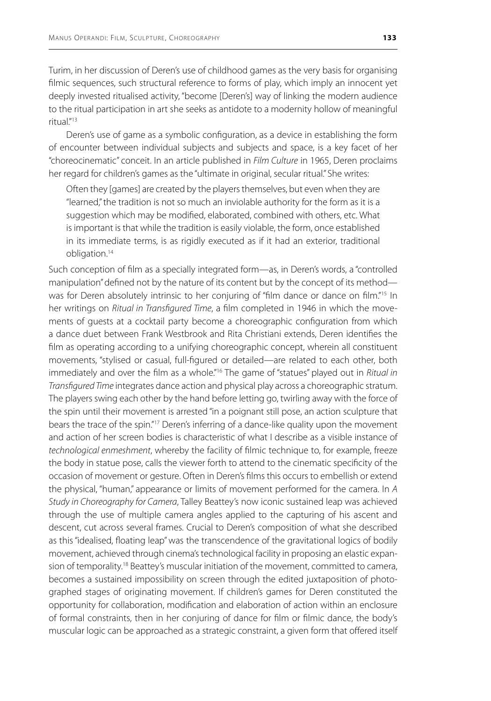Turim, in her discussion of Deren's use of childhood games as the very basis for organising filmic sequences, such structural reference to forms of play, which imply an innocent yet deeply invested ritualised activity, "become [Deren's] way of linking the modern audience to the ritual participation in art she seeks as antidote to a modernity hollow of meaningful ritual."<sup>13</sup>

Deren's use of game as a symbolic configuration, as a device in establishing the form of encounter between individual subjects and subjects and space, is a key facet of her "choreocinematic" conceit. In an article published in *Film Culture* in 1965, Deren proclaims her regard for children's games as the "ultimate in original, secular ritual." She writes:

Often they [games] are created by the players themselves, but even when they are "learned," the tradition is not so much an inviolable authority for the form as it is a suggestion which may be modified, elaborated, combined with others, etc. What is important is that while the tradition is easily violable, the form, once established in its immediate terms, is as rigidly executed as if it had an exterior, traditional obligation.14

Such conception of film as a specially integrated form—as, in Deren's words, a "controlled manipulation" defined not by the nature of its content but by the concept of its method was for Deren absolutely intrinsic to her conjuring of "film dance or dance on film."<sup>15</sup> In her writings on *Ritual in Transfigured Time*, a film completed in 1946 in which the movements of guests at a cocktail party become a choreographic configuration from which a dance duet between Frank Westbrook and Rita Christiani extends, Deren identifies the film as operating according to a unifying choreographic concept, wherein all constituent movements, "stylised or casual, full-figured or detailed—are related to each other, both immediately and over the film as a whole."<sup>16</sup> The game of "statues" played out in *Ritual in Transfigured Time* integrates dance action and physical play across a choreographic stratum. The players swing each other by the hand before letting go, twirling away with the force of the spin until their movement is arrested "in a poignant still pose, an action sculpture that bears the trace of the spin."<sup>17</sup> Deren's inferring of a dance-like quality upon the movement and action of her screen bodies is characteristic of what I describe as a visible instance of *technological enmeshment*, whereby the facility of filmic technique to, for example, freeze the body in statue pose, calls the viewer forth to attend to the cinematic specificity of the occasion of movement or gesture. Often in Deren's films this occurs to embellish or extend the physical, "human," appearance or limits of movement performed for the camera. In *A Study in Choreography for Camera*, Talley Beattey's now iconic sustained leap was achieved through the use of multiple camera angles applied to the capturing of his ascent and descent, cut across several frames. Crucial to Deren's composition of what she described as this "idealised, floating leap" was the transcendence of the gravitational logics of bodily movement, achieved through cinema's technological facility in proposing an elastic expansion of temporality.<sup>18</sup> Beattey's muscular initiation of the movement, committed to camera, becomes a sustained impossibility on screen through the edited juxtaposition of photographed stages of originating movement. If children's games for Deren constituted the opportunity for collaboration, modification and elaboration of action within an enclosure of formal constraints, then in her conjuring of dance for film or filmic dance, the body's muscular logic can be approached as a strategic constraint, a given form that offered itself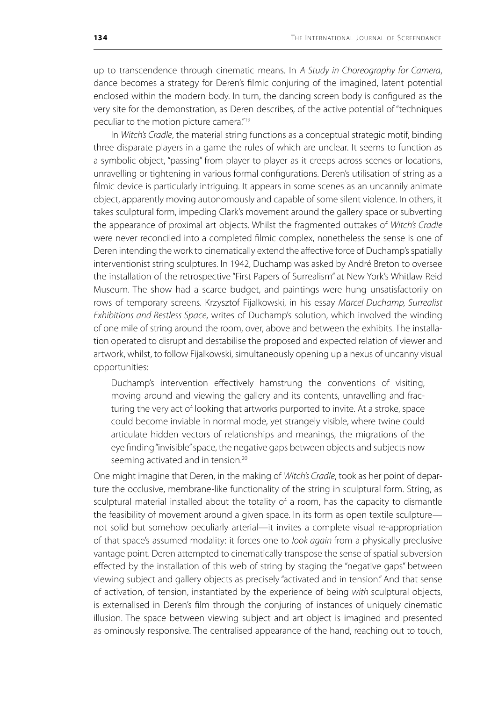up to transcendence through cinematic means. In *A Study in Choreography for Camera*, dance becomes a strategy for Deren's filmic conjuring of the imagined, latent potential enclosed within the modern body. In turn, the dancing screen body is configured as the very site for the demonstration, as Deren describes, of the active potential of "techniques peculiar to the motion picture camera."19

In *Witch's Cradle*, the material string functions as a conceptual strategic motif, binding three disparate players in a game the rules of which are unclear. It seems to function as a symbolic object, "passing" from player to player as it creeps across scenes or locations, unravelling or tightening in various formal configurations. Deren's utilisation of string as a filmic device is particularly intriguing. It appears in some scenes as an uncannily animate object, apparently moving autonomously and capable of some silent violence. In others, it takes sculptural form, impeding Clark's movement around the gallery space or subverting the appearance of proximal art objects. Whilst the fragmented outtakes of *Witch's Cradle* were never reconciled into a completed filmic complex, nonetheless the sense is one of Deren intending the work to cinematically extend the affective force of Duchamp's spatially interventionist string sculptures. In 1942, Duchamp was asked by André Breton to oversee the installation of the retrospective "First Papers of Surrealism" at New York's Whitlaw Reid Museum. The show had a scarce budget, and paintings were hung unsatisfactorily on rows of temporary screens. Krzysztof Fijalkowski, in his essay *Marcel Duchamp, Surrealist Exhibitions and Restless Space*, writes of Duchamp's solution, which involved the winding of one mile of string around the room, over, above and between the exhibits. The installation operated to disrupt and destabilise the proposed and expected relation of viewer and artwork, whilst, to follow Fijalkowski, simultaneously opening up a nexus of uncanny visual opportunities:

Duchamp's intervention effectively hamstrung the conventions of visiting, moving around and viewing the gallery and its contents, unravelling and fracturing the very act of looking that artworks purported to invite. At a stroke, space could become inviable in normal mode, yet strangely visible, where twine could articulate hidden vectors of relationships and meanings, the migrations of the eye finding "invisible" space, the negative gaps between objects and subjects now seeming activated and in tension.<sup>20</sup>

One might imagine that Deren, in the making of *Witch's Cradle*, took as her point of departure the occlusive, membrane-like functionality of the string in sculptural form. String, as sculptural material installed about the totality of a room, has the capacity to dismantle the feasibility of movement around a given space. In its form as open textile sculpture not solid but somehow peculiarly arterial—it invites a complete visual re-appropriation of that space's assumed modality: it forces one to *look again* from a physically preclusive vantage point. Deren attempted to cinematically transpose the sense of spatial subversion effected by the installation of this web of string by staging the "negative gaps" between viewing subject and gallery objects as precisely "activated and in tension." And that sense of activation, of tension, instantiated by the experience of being *with* sculptural objects, is externalised in Deren's film through the conjuring of instances of uniquely cinematic illusion. The space between viewing subject and art object is imagined and presented as ominously responsive. The centralised appearance of the hand, reaching out to touch,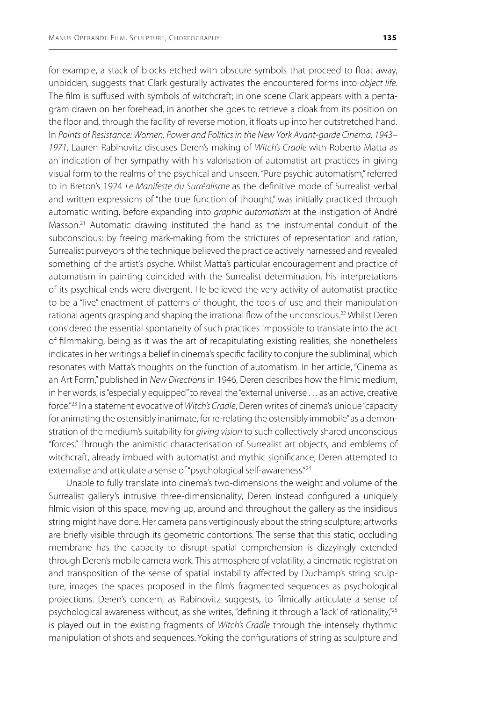for example, a stack of blocks etched with obscure symbols that proceed to float away, unbidden, suggests that Clark gesturally activates the encountered forms into *object life*. The film is suffused with symbols of witchcraft; in one scene Clark appears with a pentagram drawn on her forehead, in another she goes to retrieve a cloak from its position on the floor and, through the facility of reverse motion, it floats up into her outstretched hand. In *Points of Resistance: Women, Power and Politics in the New York Avant-garde Cinema, 1943– 1971*, Lauren Rabinovitz discuses Deren's making of *Witch's Cradle* with Roberto Matta as an indication of her sympathy with his valorisation of automatist art practices in giving visual form to the realms of the psychical and unseen. "Pure psychic automatism," referred to in Breton's 1924 *Le Manifeste du Surréalisme* as the definitive mode of Surrealist verbal and written expressions of "the true function of thought," was initially practiced through automatic writing, before expanding into *graphic automatism* at the instigation of André Masson.<sup>21</sup> Automatic drawing instituted the hand as the instrumental conduit of the subconscious: by freeing mark-making from the strictures of representation and ration, Surrealist purveyors of the technique believed the practice actively harnessed and revealed something of the artist's psyche. Whilst Matta's particular encouragement and practice of automatism in painting coincided with the Surrealist determination, his interpretations of its psychical ends were divergent. He believed the very activity of automatist practice to be a "live" enactment of patterns of thought, the tools of use and their manipulation rational agents grasping and shaping the irrational flow of the unconscious.<sup>22</sup> Whilst Deren considered the essential spontaneity of such practices impossible to translate into the act of filmmaking, being as it was the art of recapitulating existing realities, she nonetheless indicates in her writings a belief in cinema's specific facility to conjure the subliminal, which resonates with Matta's thoughts on the function of automatism. In her article, "Cinema as an Art Form," published in *New Directions* in 1946, Deren describes how the filmic medium, in her words, is "especially equipped" to reveal the "external universe . . . as an active, creative force."23 In a statement evocative of *Witch's Cradle*, Deren writes of cinema's unique "capacity for animating the ostensibly inanimate, for re-relating the ostensibly immobile" as a demonstration of the medium's suitability for *giving vision* to such collectively shared unconscious "forces." Through the animistic characterisation of Surrealist art objects, and emblems of witchcraft, already imbued with automatist and mythic significance, Deren attempted to externalise and articulate a sense of "psychological self-awareness."<sup>24</sup>

Unable to fully translate into cinema's two-dimensions the weight and volume of the Surrealist gallery's intrusive three-dimensionality, Deren instead configured a uniquely filmic vision of this space, moving up, around and throughout the gallery as the insidious string might have done. Her camera pans vertiginously about the string sculpture; artworks are briefly visible through its geometric contortions. The sense that this static, occluding membrane has the capacity to disrupt spatial comprehension is dizzyingly extended through Deren's mobile camera work. This atmosphere of volatility, a cinematic registration and transposition of the sense of spatial instability affected by Duchamp's string sculpture, images the spaces proposed in the film's fragmented sequences as psychological projections. Deren's concern, as Rabinovitz suggests, to filmically articulate a sense of psychological awareness without, as she writes, "defining it through a 'lack' of rationality,"<sup>25</sup> is played out in the existing fragments of *Witch's Cradle* through the intensely rhythmic manipulation of shots and sequences. Yoking the configurations of string as sculpture and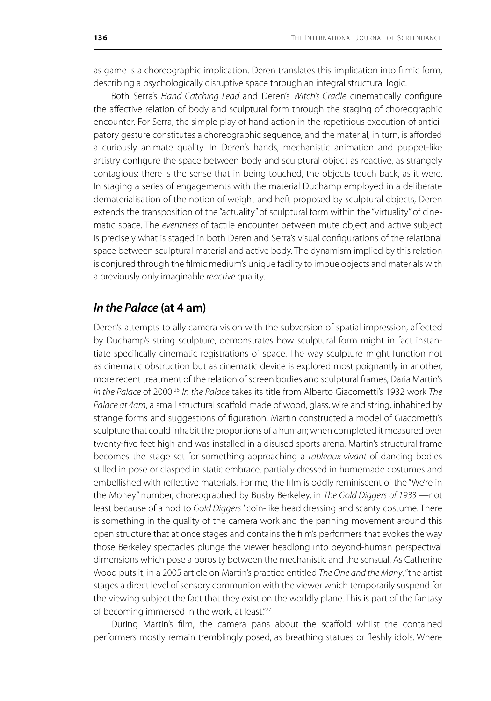as game is a choreographic implication. Deren translates this implication into filmic form, describing a psychologically disruptive space through an integral structural logic.

Both Serra's *Hand Catching Lead* and Deren's *Witch's Cradle* cinematically configure the affective relation of body and sculptural form through the staging of choreographic encounter. For Serra, the simple play of hand action in the repetitious execution of anticipatory gesture constitutes a choreographic sequence, and the material, in turn, is afforded a curiously animate quality. In Deren's hands, mechanistic animation and puppet-like artistry configure the space between body and sculptural object as reactive, as strangely contagious: there is the sense that in being touched, the objects touch back, as it were. In staging a series of engagements with the material Duchamp employed in a deliberate dematerialisation of the notion of weight and heft proposed by sculptural objects, Deren extends the transposition of the "actuality" of sculptural form within the "virtuality" of cinematic space. The *eventness* of tactile encounter between mute object and active subject is precisely what is staged in both Deren and Serra's visual configurations of the relational space between sculptural material and active body. The dynamism implied by this relation is conjured through the filmic medium's unique facility to imbue objects and materials with a previously only imaginable *reactive* quality.

## *In the Palace* **(at 4 am)**

Deren's attempts to ally camera vision with the subversion of spatial impression, affected by Duchamp's string sculpture, demonstrates how sculptural form might in fact instantiate specifically cinematic registrations of space. The way sculpture might function not as cinematic obstruction but as cinematic device is explored most poignantly in another, more recent treatment of the relation of screen bodies and sculptural frames, Daria Martin's *In the Palace* of 2000.26 *In the Palace* takes its title from Alberto Giacometti's 1932 work *The Palace at 4am*, a small structural scaffold made of wood, glass, wire and string, inhabited by strange forms and suggestions of figuration. Martin constructed a model of Giacometti's sculpture that could inhabit the proportions of a human; when completed it measured over twenty-five feet high and was installed in a disused sports arena. Martin's structural frame becomes the stage set for something approaching a *tableaux vivant* of dancing bodies stilled in pose or clasped in static embrace, partially dressed in homemade costumes and embellished with reflective materials. For me, the film is oddly reminiscent of the "We're in the Money" number, choreographed by Busby Berkeley, in *The Gold Diggers of 1933* —not least because of a nod to *Gold Diggers* ' coin-like head dressing and scanty costume. There is something in the quality of the camera work and the panning movement around this open structure that at once stages and contains the film's performers that evokes the way those Berkeley spectacles plunge the viewer headlong into beyond-human perspectival dimensions which pose a porosity between the mechanistic and the sensual. As Catherine Wood puts it, in a 2005 article on Martin's practice entitled *The One and the Many*, "the artist stages a direct level of sensory communion with the viewer which temporarily suspend for the viewing subject the fact that they exist on the worldly plane. This is part of the fantasy of becoming immersed in the work, at least."<sup>27</sup>

During Martin's film, the camera pans about the scaffold whilst the contained performers mostly remain tremblingly posed, as breathing statues or fleshly idols. Where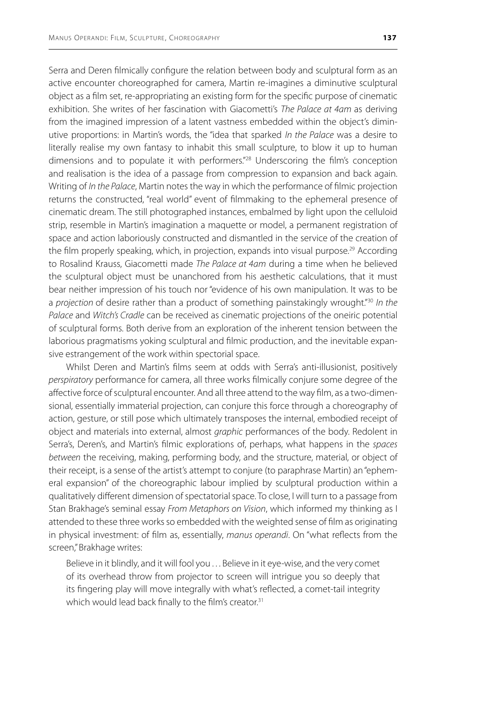Serra and Deren filmically configure the relation between body and sculptural form as an active encounter choreographed for camera, Martin re-imagines a diminutive sculptural object as a film set, re-appropriating an existing form for the specific purpose of cinematic exhibition. She writes of her fascination with Giacometti's *The Palace at 4am* as deriving from the imagined impression of a latent vastness embedded within the object's diminutive proportions: in Martin's words, the "idea that sparked *In the Palace* was a desire to literally realise my own fantasy to inhabit this small sculpture, to blow it up to human dimensions and to populate it with performers."<sup>28</sup> Underscoring the film's conception and realisation is the idea of a passage from compression to expansion and back again. Writing of *In the Palace*, Martin notes the way in which the performance of filmic projection returns the constructed, "real world" event of filmmaking to the ephemeral presence of cinematic dream. The still photographed instances, embalmed by light upon the celluloid strip, resemble in Martin's imagination a maquette or model, a permanent registration of space and action laboriously constructed and dismantled in the service of the creation of the film properly speaking, which, in projection, expands into visual purpose.<sup>29</sup> According to Rosalind Krauss, Giacometti made *The Palace at 4am* during a time when he believed the sculptural object must be unanchored from his aesthetic calculations, that it must bear neither impression of his touch nor "evidence of his own manipulation. It was to be a *projection* of desire rather than a product of something painstakingly wrought."30 *In the Palace* and *Witch's Cradle* can be received as cinematic projections of the oneiric potential of sculptural forms. Both derive from an exploration of the inherent tension between the laborious pragmatisms yoking sculptural and filmic production, and the inevitable expansive estrangement of the work within spectorial space.

Whilst Deren and Martin's films seem at odds with Serra's anti-illusionist, positively *perspiratory* performance for camera, all three works filmically conjure some degree of the affective force of sculptural encounter. And all three attend to the way film, as a two-dimensional, essentially immaterial projection, can conjure this force through a choreography of action, gesture, or still pose which ultimately transposes the internal, embodied receipt of object and materials into external, almost *graphic* performances of the body. Redolent in Serra's, Deren's, and Martin's filmic explorations of, perhaps, what happens in the *spaces between* the receiving, making, performing body, and the structure, material, or object of their receipt, is a sense of the artist's attempt to conjure (to paraphrase Martin) an "ephemeral expansion" of the choreographic labour implied by sculptural production within a qualitatively different dimension of spectatorial space. To close, I will turn to a passage from Stan Brakhage's seminal essay *From Metaphors on Vision*, which informed my thinking as I attended to these three works so embedded with the weighted sense of film as originating in physical investment: of film as, essentially, *manus operandi*. On "what reflects from the screen," Brakhage writes:

Believe in it blindly, and it will fool you ... Believe in it eye-wise, and the very comet of its overhead throw from projector to screen will intrigue you so deeply that its fingering play will move integrally with what's reflected, a comet-tail integrity which would lead back finally to the film's creator.<sup>31</sup>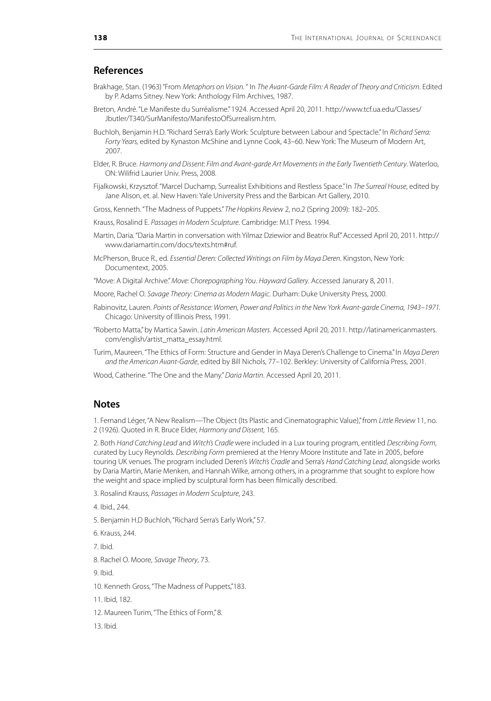#### **References**

- Brakhage, Stan. (1963) "From *Metaphors on Vision.* " In *The Avant-Garde Film: A Reader of Theory and Criticism*. Edited by P. Adams Sitney. New York: Anthology Film Archives, 1987.
- Breton, André. "Le Manifeste du Surréalisme." 1924. Accessed April 20, 2011. http://www.tcf.ua.edu/Classes/ Jbutler/T340/SurManifesto/ManifestoOfSurrealism.htm.
- Buchloh, Benjamin H.D. "Richard Serra's Early Work: Sculpture between Labour and Spectacle." In *Richard Serra: Forty Years,* edited by Kynaston McShine and Lynne Cook, 43–60. New York: The Museum of Modern Art, 2007.
- Elder, R. Bruce. *Harmony and Dissent: Film and Avant-garde Art Movements in the Early Twentieth Century*. Waterloo, ON: Wilifrid Laurier Univ. Press, 2008.
- Fijalkowski, Krzysztof. "Marcel Duchamp, Surrealist Exhibitions and Restless Space." In *The Surreal House*, edited by Jane Alison, et. al. New Haven: Yale University Press and the Barbican Art Gallery, 2010.
- Gross, Kenneth. "The Madness of Puppets." *The Hopkins Review* 2, no.2 (Spring 2009): 182–205.
- Krauss, Rosalind E. *Passages in Modern Sculpture*. Cambridge: M.I.T Press. 1994.
- Martin, Daria. "Daria Martin in conversation with Yilmaz Dziewior and Beatrix Ruf." Accessed April 20, 2011. http:// www.dariamartin.com/docs/texts.htm#ruf.
- McPherson, Bruce R., ed. *Essential Deren: Collected Writings on Film by Maya Deren*. Kingston, New York: Documentext, 2005.
- "Move: A Digital Archive." *Move: Chorepographing You*. *Hayward Gallery*. Accessed Janurary 8, 2011.
- Moore, Rachel O. *Savage Theory: Cinema as Modern Magic*. Durham: Duke University Press, 2000.
- Rabinovitz, Lauren. *Points of Resistance: Women, Power and Politics in the New York Avant-garde Cinema, 1943–1971.* Chicago: University of Illinois Press, 1991.
- "Roberto Matta," by Martica Sawin. *Latin American Masters*. Accessed April 20, 2011. http://latinamericanmasters. com/english/artist\_matta\_essay.html.
- Turim, Maureen. "The Ethics of Form: Structure and Gender in Maya Deren's Challenge to Cinema." In *Maya Deren and the American Avant-Garde*, edited by Bill Nichols, 77–102. Berkley: University of California Press, 2001.
- Wood, Catherine. "The One and the Many." *Daria Martin*. Accessed April 20, 2011.

#### **Notes**

1. Fernand Léger, "A New Realism—The Object (Its Plastic and Cinematographic Value)," from *Little Review* 11, no. 2 (1926). Quoted in R. Bruce Elder, *Harmony and Dissent,* 165.

2. Both *Hand Catching Lead* and *Witch's Cradle* were included in a Lux touring program, entitled *Describing Form,* curated by Lucy Reynolds. *Describing Form* premiered at the Henry Moore Institute and Tate in 2005, before touring UK venues. The program included Deren's *Witch's Cradle* and Serra's *Hand Catching Lead*, alongside works by Daria Martin, Marie Menken, and Hannah Wilke, among others, in a programme that sought to explore how the weight and space implied by sculptural form has been filmically described.

- 3. Rosalind Krauss, *Passages in Modern Sculpture*, 243.
- 4. Ibid., 244.
- 5. Benjamin H.D Buchloh, "Richard Serra's Early Work," 57.
- 6. Krauss, 244.
- 7. Ibid.

8. Rachel O. Moore, *Savage Theory*, 73.

9. Ibid.

10. Kenneth Gross, "The Madness of Puppets,"183.

11. Ibid, 182.

- 12. Maureen Turim, "The Ethics of Form," 8.
- 13. Ibid.